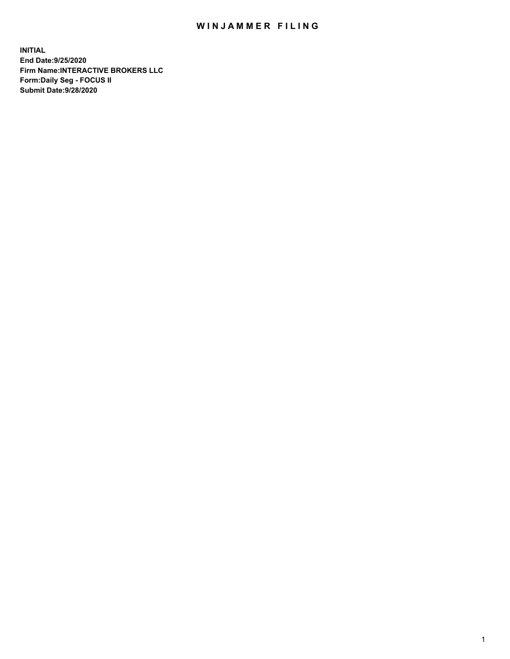## WIN JAMMER FILING

**INITIAL End Date:9/25/2020 Firm Name:INTERACTIVE BROKERS LLC Form:Daily Seg - FOCUS II Submit Date:9/28/2020**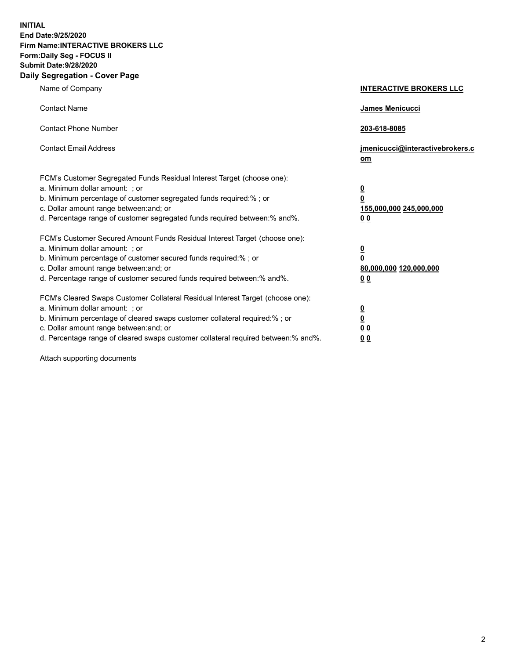**INITIAL End Date:9/25/2020 Firm Name:INTERACTIVE BROKERS LLC Form:Daily Seg - FOCUS II Submit Date:9/28/2020 Daily Segregation - Cover Page**

| Name of Company                                                                                                                                                                                                                                                                                                                | <b>INTERACTIVE BROKERS LLC</b>                                                   |
|--------------------------------------------------------------------------------------------------------------------------------------------------------------------------------------------------------------------------------------------------------------------------------------------------------------------------------|----------------------------------------------------------------------------------|
| <b>Contact Name</b>                                                                                                                                                                                                                                                                                                            | James Menicucci                                                                  |
| <b>Contact Phone Number</b>                                                                                                                                                                                                                                                                                                    | 203-618-8085                                                                     |
| <b>Contact Email Address</b>                                                                                                                                                                                                                                                                                                   | jmenicucci@interactivebrokers.c<br>om                                            |
| FCM's Customer Segregated Funds Residual Interest Target (choose one):<br>a. Minimum dollar amount: ; or<br>b. Minimum percentage of customer segregated funds required:% ; or<br>c. Dollar amount range between: and; or<br>d. Percentage range of customer segregated funds required between:% and%.                         | <u>0</u><br>$\overline{\mathbf{0}}$<br>155,000,000 245,000,000<br>0 <sub>0</sub> |
| FCM's Customer Secured Amount Funds Residual Interest Target (choose one):<br>a. Minimum dollar amount: ; or<br>b. Minimum percentage of customer secured funds required:% ; or<br>c. Dollar amount range between: and; or<br>d. Percentage range of customer secured funds required between:% and%.                           | <u>0</u><br>$\overline{\mathbf{0}}$<br>80,000,000 120,000,000<br>0 <sub>0</sub>  |
| FCM's Cleared Swaps Customer Collateral Residual Interest Target (choose one):<br>a. Minimum dollar amount: ; or<br>b. Minimum percentage of cleared swaps customer collateral required:% ; or<br>c. Dollar amount range between: and; or<br>d. Percentage range of cleared swaps customer collateral required between:% and%. | <u>0</u><br>$\underline{\mathbf{0}}$<br>0 <sub>0</sub><br>0 <sub>0</sub>         |

Attach supporting documents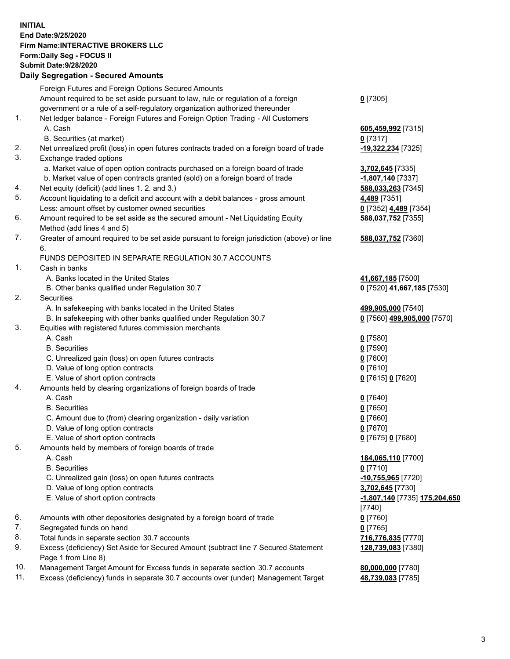**INITIAL End Date:9/25/2020 Firm Name:INTERACTIVE BROKERS LLC Form:Daily Seg - FOCUS II Submit Date:9/28/2020 Daily Segregation - Secured Amounts**

|     | Daily Segregation - Secured Amounts                                                         |                               |
|-----|---------------------------------------------------------------------------------------------|-------------------------------|
|     | Foreign Futures and Foreign Options Secured Amounts                                         |                               |
|     | Amount required to be set aside pursuant to law, rule or regulation of a foreign            | $0$ [7305]                    |
|     | government or a rule of a self-regulatory organization authorized thereunder                |                               |
| 1.  | Net ledger balance - Foreign Futures and Foreign Option Trading - All Customers             |                               |
|     | A. Cash                                                                                     | 605,459,992 [7315]            |
|     | B. Securities (at market)                                                                   | $0$ [7317]                    |
| 2.  | Net unrealized profit (loss) in open futures contracts traded on a foreign board of trade   | -19,322,234 [7325]            |
| 3.  | Exchange traded options                                                                     |                               |
|     | a. Market value of open option contracts purchased on a foreign board of trade              | 3,702,645 [7335]              |
|     | b. Market value of open contracts granted (sold) on a foreign board of trade                | -1,807,140 <sup>[7337]</sup>  |
| 4.  | Net equity (deficit) (add lines 1. 2. and 3.)                                               | 588,033,263 [7345]            |
| 5.  | Account liquidating to a deficit and account with a debit balances - gross amount           | 4,489 [7351]                  |
|     | Less: amount offset by customer owned securities                                            | 0 [7352] 4,489 [7354]         |
| 6.  | Amount required to be set aside as the secured amount - Net Liquidating Equity              | 588,037,752 [7355]            |
|     | Method (add lines 4 and 5)                                                                  |                               |
| 7.  | Greater of amount required to be set aside pursuant to foreign jurisdiction (above) or line |                               |
|     | 6.                                                                                          | 588,037,752 [7360]            |
|     | FUNDS DEPOSITED IN SEPARATE REGULATION 30.7 ACCOUNTS                                        |                               |
| 1.  | Cash in banks                                                                               |                               |
|     | A. Banks located in the United States                                                       |                               |
|     |                                                                                             | 41,667,185 [7500]             |
| 2.  | B. Other banks qualified under Regulation 30.7<br><b>Securities</b>                         | 0 [7520] 41,667,185 [7530]    |
|     |                                                                                             |                               |
|     | A. In safekeeping with banks located in the United States                                   | 499,905,000 [7540]            |
|     | B. In safekeeping with other banks qualified under Regulation 30.7                          | 0 [7560] 499,905,000 [7570]   |
| 3.  | Equities with registered futures commission merchants                                       |                               |
|     | A. Cash                                                                                     | $0$ [7580]                    |
|     | <b>B.</b> Securities                                                                        | $0$ [7590]                    |
|     | C. Unrealized gain (loss) on open futures contracts                                         | $0$ [7600]                    |
|     | D. Value of long option contracts                                                           | $0$ [7610]                    |
|     | E. Value of short option contracts                                                          | 0 [7615] 0 [7620]             |
| 4.  | Amounts held by clearing organizations of foreign boards of trade                           |                               |
|     | A. Cash                                                                                     | $0$ [7640]                    |
|     | <b>B.</b> Securities                                                                        | $0$ [7650]                    |
|     | C. Amount due to (from) clearing organization - daily variation                             | $0$ [7660]                    |
|     | D. Value of long option contracts                                                           | $0$ [7670]                    |
|     | E. Value of short option contracts                                                          | 0 [7675] 0 [7680]             |
| 5.  | Amounts held by members of foreign boards of trade                                          |                               |
|     | A. Cash                                                                                     | 184,065,110 [7700]            |
|     | <b>B.</b> Securities                                                                        | $0$ [7710]                    |
|     | C. Unrealized gain (loss) on open futures contracts                                         | -10,755,965 <sup>[7720]</sup> |
|     | D. Value of long option contracts                                                           | 3,702,645 [7730]              |
|     | E. Value of short option contracts                                                          | -1,807,140 [7735] 175,204,650 |
|     |                                                                                             | $[7740]$                      |
| 6.  | Amounts with other depositories designated by a foreign board of trade                      | $0$ [7760]                    |
| 7.  | Segregated funds on hand                                                                    | $0$ [7765]                    |
| 8.  | Total funds in separate section 30.7 accounts                                               | 716,776,835 [7770]            |
| 9.  | Excess (deficiency) Set Aside for Secured Amount (subtract line 7 Secured Statement         | 128,739,083 [7380]            |
|     | Page 1 from Line 8)                                                                         |                               |
| 10. | Management Target Amount for Excess funds in separate section 30.7 accounts                 | 80,000,000 [7780]             |
| 11. | Excess (deficiency) funds in separate 30.7 accounts over (under) Management Target          | 48,739,083 [7785]             |
|     |                                                                                             |                               |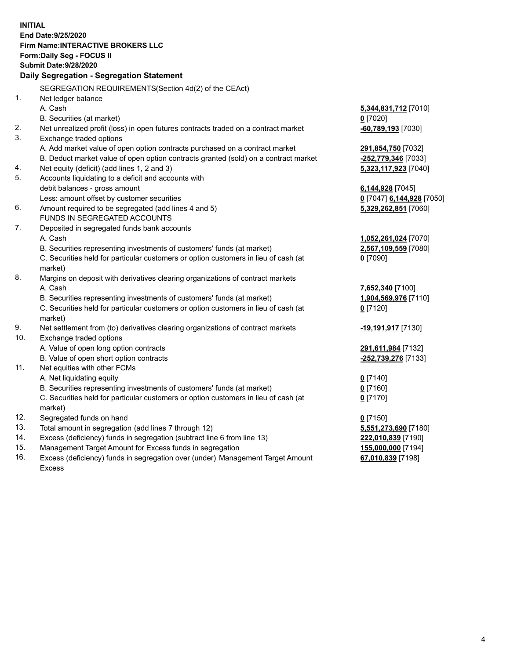**INITIAL End Date:9/25/2020 Firm Name:INTERACTIVE BROKERS LLC Form:Daily Seg - FOCUS II Submit Date:9/28/2020 Daily Segregation - Segregation Statement** SEGREGATION REQUIREMENTS(Section 4d(2) of the CEAct) 1. Net ledger balance A. Cash **5,344,831,712** [7010] B. Securities (at market) **0** [7020] 2. Net unrealized profit (loss) in open futures contracts traded on a contract market **-60,789,193** [7030] 3. Exchange traded options A. Add market value of open option contracts purchased on a contract market **291,854,750** [7032] B. Deduct market value of open option contracts granted (sold) on a contract market **-252,779,346** [7033] 4. Net equity (deficit) (add lines 1, 2 and 3) **5,323,117,923** [7040] 5. Accounts liquidating to a deficit and accounts with debit balances - gross amount **6,144,928** [7045] Less: amount offset by customer securities **0** [7047] **6,144,928** [7050] 6. Amount required to be segregated (add lines 4 and 5) **5,329,262,851** [7060] FUNDS IN SEGREGATED ACCOUNTS 7. Deposited in segregated funds bank accounts A. Cash **1,052,261,024** [7070] B. Securities representing investments of customers' funds (at market) **2,567,109,559** [7080] C. Securities held for particular customers or option customers in lieu of cash (at market) **0** [7090] 8. Margins on deposit with derivatives clearing organizations of contract markets A. Cash **7,652,340** [7100] B. Securities representing investments of customers' funds (at market) **1,904,569,976** [7110] C. Securities held for particular customers or option customers in lieu of cash (at market) **0** [7120] 9. Net settlement from (to) derivatives clearing organizations of contract markets **-19,191,917** [7130] 10. Exchange traded options A. Value of open long option contracts **291,611,984** [7132] B. Value of open short option contracts **-252,739,276** [7133] 11. Net equities with other FCMs A. Net liquidating equity **0** [7140] B. Securities representing investments of customers' funds (at market) **0** [7160] C. Securities held for particular customers or option customers in lieu of cash (at market) **0** [7170] 12. Segregated funds on hand **0** [7150] 13. Total amount in segregation (add lines 7 through 12) **5,551,273,690** [7180] 14. Excess (deficiency) funds in segregation (subtract line 6 from line 13) **222,010,839** [7190] 15. Management Target Amount for Excess funds in segregation **155,000,000** [7194] 16. Excess (deficiency) funds in segregation over (under) Management Target Amount **67,010,839** [7198]

Excess